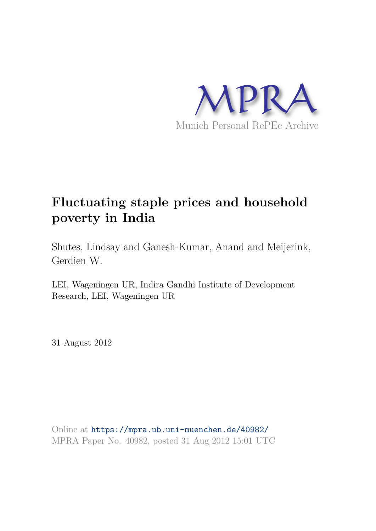

# **Fluctuating staple prices and household poverty in India**

Shutes, Lindsay and Ganesh-Kumar, Anand and Meijerink, Gerdien W.

LEI, Wageningen UR, Indira Gandhi Institute of Development Research, LEI, Wageningen UR

31 August 2012

Online at https://mpra.ub.uni-muenchen.de/40982/ MPRA Paper No. 40982, posted 31 Aug 2012 15:01 UTC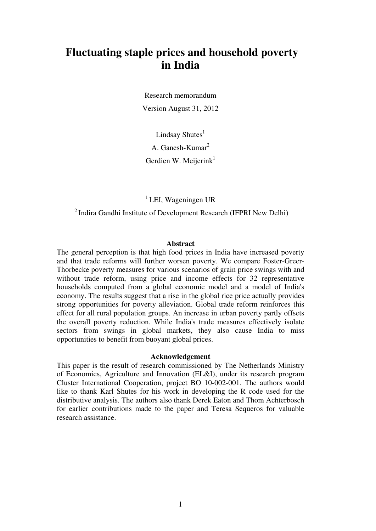## **Fluctuating staple prices and household poverty in India**

Research memorandum Version August 31, 2012

Lindsay Shutes $<sup>1</sup>$ </sup> A. Ganesh-Kumar<sup>2</sup> Gerdien W. Meijerin $k<sup>1</sup>$ 

 ${}^{1}$ LEI, Wageningen UR

<sup>2</sup> Indira Gandhi Institute of Development Research (IFPRI New Delhi)

#### **Abstract**

The general perception is that high food prices in India have increased poverty and that trade reforms will further worsen poverty. We compare Foster-Greer-Thorbecke poverty measures for various scenarios of grain price swings with and without trade reform, using price and income effects for 32 representative households computed from a global economic model and a model of India's economy. The results suggest that a rise in the global rice price actually provides strong opportunities for poverty alleviation. Global trade reform reinforces this effect for all rural population groups. An increase in urban poverty partly offsets the overall poverty reduction. While India's trade measures effectively isolate sectors from swings in global markets, they also cause India to miss opportunities to benefit from buoyant global prices.

#### **Acknowledgement**

This paper is the result of research commissioned by The Netherlands Ministry of Economics, Agriculture and Innovation (EL&I), under its research program Cluster International Cooperation, project BO 10-002-001. The authors would like to thank Karl Shutes for his work in developing the R code used for the distributive analysis. The authors also thank Derek Eaton and Thom Achterbosch for earlier contributions made to the paper and Teresa Sequeros for valuable research assistance.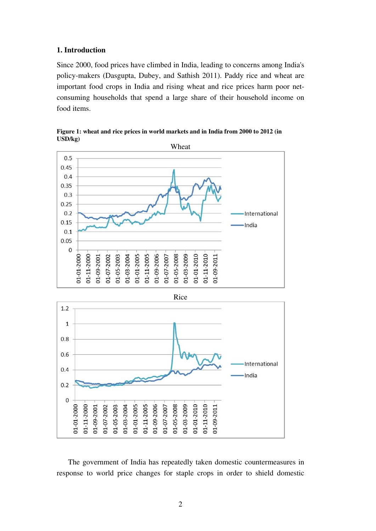#### **1. Introduction**

Since 2000, food prices have climbed in India, leading to concerns among India's policy-makers (Dasgupta, Dubey, and Sathish 2011). Paddy rice and wheat are important food crops in India and rising wheat and rice prices harm poor netconsuming households that spend a large share of their household income on food items.



**Figure 1: wheat and rice prices in world markets and in India from 2000 to 2012 (in USD/kg)** 

 $0.8$ 0.6 International  $0.4$ India  $0.2$  $\mathbf 0$ 01-01-2000 01-01-2005 01-11-2005 01-01-2010 01-11-2010 01-11-2000 01-05-2003 01-03-2004 01-09-2006 01-05-2008 01-03-2009 01-09-2011 01-09-2001 01-07-2002 01-07-2007

 The government of India has repeatedly taken domestic countermeasures in response to world price changes for staple crops in order to shield domestic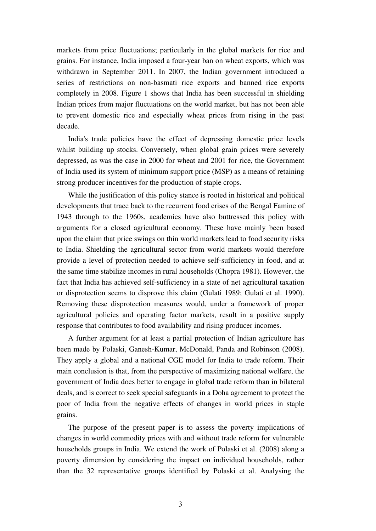markets from price fluctuations; particularly in the global markets for rice and grains. For instance, India imposed a four-year ban on wheat exports, which was withdrawn in September 2011. In 2007, the Indian government introduced a series of restrictions on non-basmati rice exports and banned rice exports completely in 2008. Figure 1 shows that India has been successful in shielding Indian prices from major fluctuations on the world market, but has not been able to prevent domestic rice and especially wheat prices from rising in the past decade.

 India's trade policies have the effect of depressing domestic price levels whilst building up stocks. Conversely, when global grain prices were severely depressed, as was the case in 2000 for wheat and 2001 for rice, the Government of India used its system of minimum support price (MSP) as a means of retaining strong producer incentives for the production of staple crops.

 While the justification of this policy stance is rooted in historical and political developments that trace back to the recurrent food crises of the Bengal Famine of 1943 through to the 1960s, academics have also buttressed this policy with arguments for a closed agricultural economy. These have mainly been based upon the claim that price swings on thin world markets lead to food security risks to India. Shielding the agricultural sector from world markets would therefore provide a level of protection needed to achieve self-sufficiency in food, and at the same time stabilize incomes in rural households (Chopra 1981). However, the fact that India has achieved self-sufficiency in a state of net agricultural taxation or disprotection seems to disprove this claim (Gulati 1989; Gulati et al. 1990). Removing these disprotection measures would, under a framework of proper agricultural policies and operating factor markets, result in a positive supply response that contributes to food availability and rising producer incomes.

 A further argument for at least a partial protection of Indian agriculture has been made by Polaski, Ganesh-Kumar, McDonald, Panda and Robinson (2008). They apply a global and a national CGE model for India to trade reform. Their main conclusion is that, from the perspective of maximizing national welfare, the government of India does better to engage in global trade reform than in bilateral deals, and is correct to seek special safeguards in a Doha agreement to protect the poor of India from the negative effects of changes in world prices in staple grains.

 The purpose of the present paper is to assess the poverty implications of changes in world commodity prices with and without trade reform for vulnerable households groups in India. We extend the work of Polaski et al. (2008) along a poverty dimension by considering the impact on individual households, rather than the 32 representative groups identified by Polaski et al. Analysing the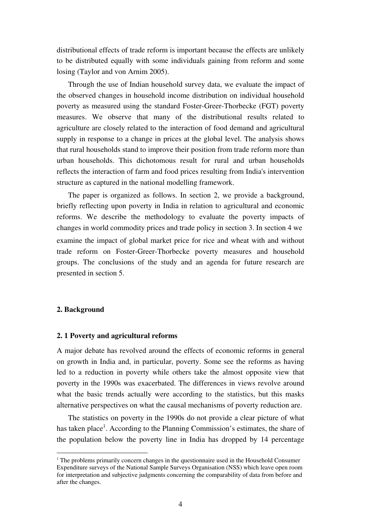distributional effects of trade reform is important because the effects are unlikely to be distributed equally with some individuals gaining from reform and some losing (Taylor and von Arnim 2005).

 Through the use of Indian household survey data, we evaluate the impact of the observed changes in household income distribution on individual household poverty as measured using the standard Foster-Greer-Thorbecke (FGT) poverty measures. We observe that many of the distributional results related to agriculture are closely related to the interaction of food demand and agricultural supply in response to a change in prices at the global level. The analysis shows that rural households stand to improve their position from trade reform more than urban households. This dichotomous result for rural and urban households reflects the interaction of farm and food prices resulting from India's intervention structure as captured in the national modelling framework.

 The paper is organized as follows. In section 2, we provide a background, briefly reflecting upon poverty in India in relation to agricultural and economic reforms. We describe the methodology to evaluate the poverty impacts of changes in world commodity prices and trade policy in section 3. In section 4 we examine the impact of global market price for rice and wheat with and without trade reform on Foster-Greer-Thorbecke poverty measures and household groups. The conclusions of the study and an agenda for future research are presented in section 5.

#### **2. Background**

 $\overline{a}$ 

#### **2. 1 Poverty and agricultural reforms**

A major debate has revolved around the effects of economic reforms in general on growth in India and, in particular, poverty. Some see the reforms as having led to a reduction in poverty while others take the almost opposite view that poverty in the 1990s was exacerbated. The differences in views revolve around what the basic trends actually were according to the statistics, but this masks alternative perspectives on what the causal mechanisms of poverty reduction are.

 The statistics on poverty in the 1990s do not provide a clear picture of what has taken place<sup>1</sup>. According to the Planning Commission's estimates, the share of the population below the poverty line in India has dropped by 14 percentage

 $1$ <sup>T</sup> The problems primarily concern changes in the questionnaire used in the Household Consumer Expenditure surveys of the National Sample Surveys Organisation (NSS) which leave open room for interpretation and subjective judgments concerning the comparability of data from before and after the changes.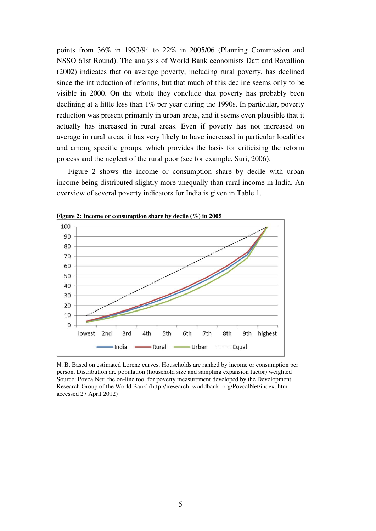points from 36% in 1993/94 to 22% in 2005/06 (Planning Commission and NSSO 61st Round). The analysis of World Bank economists Datt and Ravallion (2002) indicates that on average poverty, including rural poverty, has declined since the introduction of reforms, but that much of this decline seems only to be visible in 2000. On the whole they conclude that poverty has probably been declining at a little less than 1% per year during the 1990s. In particular, poverty reduction was present primarily in urban areas, and it seems even plausible that it actually has increased in rural areas. Even if poverty has not increased on average in rural areas, it has very likely to have increased in particular localities and among specific groups, which provides the basis for criticising the reform process and the neglect of the rural poor (see for example, Suri, 2006).

 Figure 2 shows the income or consumption share by decile with urban income being distributed slightly more unequally than rural income in India. An overview of several poverty indicators for India is given in Table 1.



**Figure 2: Income or consumption share by decile (%) in 2005** 

N. B. Based on estimated Lorenz curves. Households are ranked by income or consumption per person. Distribution are population (household size and sampling expansion factor) weighted Source: PovcalNet: the on-line tool for poverty measurement developed by the Development Research Group of the World Bank' (http://iresearch. worldbank. org/PovcalNet/index. htm accessed 27 April 2012)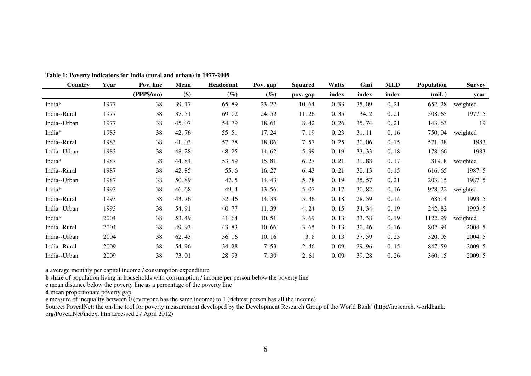| Country            | Year | Pov. line  | Mean  | Headcount | Pov. gap | <b>Squared</b> | Watts | Gini  | MLD   | <b>Population</b> | Survey   |
|--------------------|------|------------|-------|-----------|----------|----------------|-------|-------|-------|-------------------|----------|
|                    |      | (PPP\$/mo) | \$)   | $(\%)$    | $(\%)$   | pov. gap       | index | index | index | (mil.)            | year     |
| India <sup>*</sup> | 1977 | 38         | 39.17 | 65.89     | 23.22    | 10.64          | 0.33  | 35.09 | 0.21  | 652.28            | weighted |
| India--Rural       | 1977 | 38         | 37.51 | 69.02     | 24.52    | 11.26          | 0.35  | 34.2  | 0.21  | 508.65            | 1977.5   |
| India--Urban       | 1977 | 38         | 45.07 | 54.79     | 18.61    | 8.42           | 0.26  | 35.74 | 0.21  | 143.63            | 19       |
| India*             | 1983 | 38         | 42.76 | 55.51     | 17.24    | 7.19           | 0.23  | 31.11 | 0.16  | 750.04            | weighted |
| India--Rural       | 1983 | 38         | 41.03 | 57.78     | 18.06    | 7.57           | 0.25  | 30.06 | 0.15  | 571.38            | 1983     |
| India--Urban       | 1983 | 38         | 48.28 | 48.25     | 14.62    | 5.99           | 0.19  | 33.33 | 0.18  | 178.66            | 1983     |
| India*             | 1987 | 38         | 44.84 | 53.59     | 15.81    | 6.27           | 0.21  | 31.88 | 0.17  | 819.8             | weighted |
| India--Rural       | 1987 | 38         | 42.85 | 55.6      | 16.27    | 6.43           | 0.21  | 30.13 | 0.15  | 616.65            | 1987.5   |
| India--Urban       | 1987 | 38         | 50.89 | 47.5      | 14.43    | 5.78           | 0.19  | 35.57 | 0.21  | 203.15            | 1987.5   |
| India*             | 1993 | 38         | 46.68 | 49.4      | 13.56    | 5.07           | 0.17  | 30.82 | 0.16  | 928.22            | weighted |
| India--Rural       | 1993 | 38         | 43.76 | 52.46     | 14.33    | 5.36           | 0.18  | 28.59 | 0.14  | 685.4             | 1993.5   |
| India--Urban       | 1993 | 38         | 54.91 | 40.77     | 11.39    | 4.24           | 0.15  | 34.34 | 0.19  | 242.82            | 1993.5   |
| India*             | 2004 | 38         | 53.49 | 41.64     | 10.51    | 3.69           | 0.13  | 33.38 | 0.19  | 1122.99           | weighted |
| India--Rural       | 2004 | 38         | 49.93 | 43.83     | 10.66    | 3.65           | 0.13  | 30.46 | 0.16  | 802.94            | 2004.5   |
| India--Urban       | 2004 | 38         | 62.43 | 36.16     | 10.16    | 3.8            | 0.13  | 37.59 | 0.23  | 320.05            | 2004.5   |
| India--Rural       | 2009 | 38         | 54.96 | 34.28     | 7.53     | 2.46           | 0.09  | 29.96 | 0.15  | 847.59            | 2009.5   |
| India--Urban       | 2009 | 38         | 73.01 | 28.93     | 7.39     | 2.61           | 0.09  | 39.28 | 0.26  | 360.15            | 2009.5   |

**Table 1: Poverty indicators for India (rural and urban) in 1977-2009** 

**a** average monthly per capital income / consumption expenditure

**b** share of population living in households with consumption / income per person below the poverty line

**c** mean distance below the poverty line as a percentage of the poverty line

**d** mean proportionate poverty gap

**e** measure of inequality between 0 (everyone has the same income) to 1 (richtest person has all the income)

Source: PovcalNet: the on-line tool for poverty measurement developed by the Development Research Group of the World Bank' (http://iresearch. worldbank. org/PovcalNet/index. htm accessed 27 April 2012)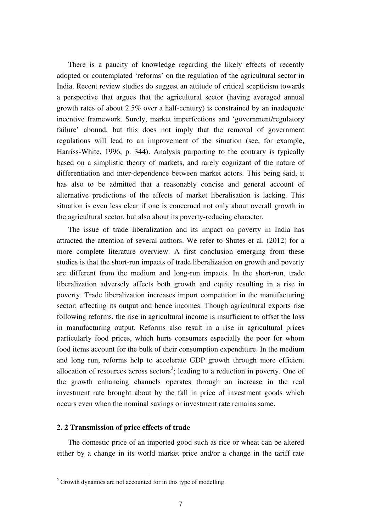There is a paucity of knowledge regarding the likely effects of recently adopted or contemplated 'reforms' on the regulation of the agricultural sector in India. Recent review studies do suggest an attitude of critical scepticism towards a perspective that argues that the agricultural sector (having averaged annual growth rates of about 2.5% over a half-century) is constrained by an inadequate incentive framework. Surely, market imperfections and 'government/regulatory failure' abound, but this does not imply that the removal of government regulations will lead to an improvement of the situation (see, for example, Harriss-White, 1996, p. 344). Analysis purporting to the contrary is typically based on a simplistic theory of markets, and rarely cognizant of the nature of differentiation and inter-dependence between market actors. This being said, it has also to be admitted that a reasonably concise and general account of alternative predictions of the effects of market liberalisation is lacking. This situation is even less clear if one is concerned not only about overall growth in the agricultural sector, but also about its poverty-reducing character.

 The issue of trade liberalization and its impact on poverty in India has attracted the attention of several authors. We refer to Shutes et al. (2012) for a more complete literature overview. A first conclusion emerging from these studies is that the short-run impacts of trade liberalization on growth and poverty are different from the medium and long-run impacts. In the short-run, trade liberalization adversely affects both growth and equity resulting in a rise in poverty. Trade liberalization increases import competition in the manufacturing sector; affecting its output and hence incomes. Though agricultural exports rise following reforms, the rise in agricultural income is insufficient to offset the loss in manufacturing output. Reforms also result in a rise in agricultural prices particularly food prices, which hurts consumers especially the poor for whom food items account for the bulk of their consumption expenditure. In the medium and long run, reforms help to accelerate GDP growth through more efficient allocation of resources across sectors<sup>2</sup>; leading to a reduction in poverty. One of the growth enhancing channels operates through an increase in the real investment rate brought about by the fall in price of investment goods which occurs even when the nominal savings or investment rate remains same.

#### **2. 2 Transmission of price effects of trade**

 The domestic price of an imported good such as rice or wheat can be altered either by a change in its world market price and/or a change in the tariff rate

<sup>&</sup>lt;sup>2</sup> Growth dynamics are not accounted for in this type of modelling.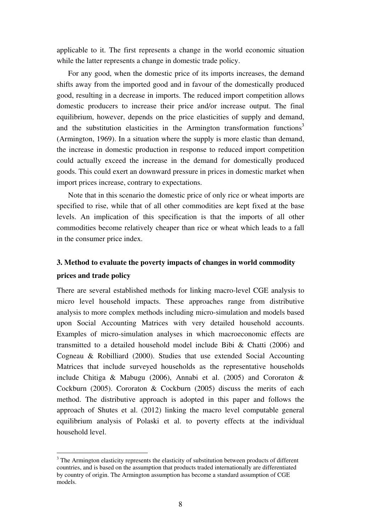applicable to it. The first represents a change in the world economic situation while the latter represents a change in domestic trade policy.

 For any good, when the domestic price of its imports increases, the demand shifts away from the imported good and in favour of the domestically produced good, resulting in a decrease in imports. The reduced import competition allows domestic producers to increase their price and/or increase output. The final equilibrium, however, depends on the price elasticities of supply and demand, and the substitution elasticities in the Armington transformation functions<sup>3</sup> (Armington, 1969). In a situation where the supply is more elastic than demand, the increase in domestic production in response to reduced import competition could actually exceed the increase in the demand for domestically produced goods. This could exert an downward pressure in prices in domestic market when import prices increase, contrary to expectations.

 Note that in this scenario the domestic price of only rice or wheat imports are specified to rise, while that of all other commodities are kept fixed at the base levels. An implication of this specification is that the imports of all other commodities become relatively cheaper than rice or wheat which leads to a fall in the consumer price index.

### **3. Method to evaluate the poverty impacts of changes in world commodity prices and trade policy**

There are several established methods for linking macro-level CGE analysis to micro level household impacts. These approaches range from distributive analysis to more complex methods including micro-simulation and models based upon Social Accounting Matrices with very detailed household accounts. Examples of micro-simulation analyses in which macroeconomic effects are transmitted to a detailed household model include Bibi  $\&$  Chatti (2006) and Cogneau & Robilliard (2000). Studies that use extended Social Accounting Matrices that include surveyed households as the representative households include Chitiga & Mabugu (2006), Annabi et al. (2005) and Cororaton & Cockburn (2005). Cororaton & Cockburn (2005) discuss the merits of each method. The distributive approach is adopted in this paper and follows the approach of Shutes et al. (2012) linking the macro level computable general equilibrium analysis of Polaski et al. to poverty effects at the individual household level.

 $\overline{a}$ 

 $3$  The Armington elasticity represents the elasticity of substitution between products of different countries, and is based on the assumption that products traded internationally are differentiated by country of origin. The Armington assumption has become a standard assumption of CGE models.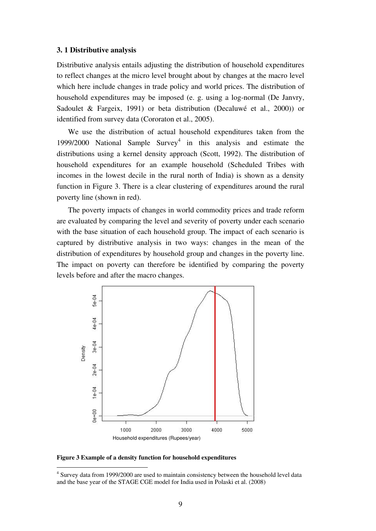#### **3. 1 Distributive analysis**

Distributive analysis entails adjusting the distribution of household expenditures to reflect changes at the micro level brought about by changes at the macro level which here include changes in trade policy and world prices. The distribution of household expenditures may be imposed (e. g. using a log-normal (De Janvry, Sadoulet & Fargeix, 1991) or beta distribution (Decaluwé et al., 2000)) or identified from survey data (Cororaton et al., 2005).

 We use the distribution of actual household expenditures taken from the 1999/2000 National Sample  $\text{Surve}^4$  in this analysis and estimate the distributions using a kernel density approach (Scott, 1992). The distribution of household expenditures for an example household (Scheduled Tribes with incomes in the lowest decile in the rural north of India) is shown as a density function in Figure 3. There is a clear clustering of expenditures around the rural poverty line (shown in red).

 The poverty impacts of changes in world commodity prices and trade reform are evaluated by comparing the level and severity of poverty under each scenario with the base situation of each household group. The impact of each scenario is captured by distributive analysis in two ways: changes in the mean of the distribution of expenditures by household group and changes in the poverty line. The impact on poverty can therefore be identified by comparing the poverty levels before and after the macro changes.



**Figure 3 Example of a density function for household expenditures** 

 $\overline{a}$ 

<sup>&</sup>lt;sup>4</sup> Survey data from 1999/2000 are used to maintain consistency between the household level data and the base year of the STAGE CGE model for India used in Polaski et al. (2008)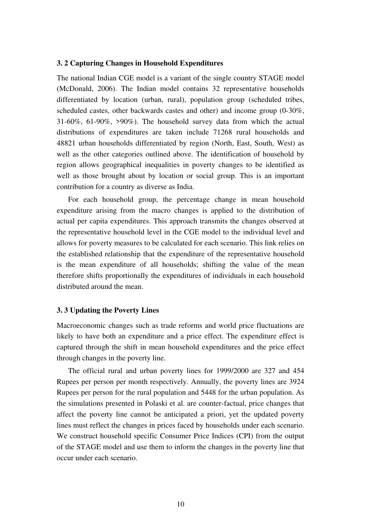#### **3. 2 Capturing Changes in Household Expenditures**

The national Indian CGE model is a variant of the single country STAGE model (McDonald, 2006). The Indian model contains 32 representative households differentiated by location (urban, rural), population group (scheduled tribes, scheduled castes, other backwards castes and other) and income group (0-30%, 31-60%, 61-90%, >90%). The household survey data from which the actual distributions of expenditures are taken include 71268 rural households and 48821 urban households differentiated by region (North, East, South, West) as well as the other categories outlined above. The identification of household by region allows geographical inequalities in poverty changes to be identified as well as those brought about by location or social group. This is an important contribution for a country as diverse as India.

 For each household group, the percentage change in mean household expenditure arising from the macro changes is applied to the distribution of actual per capita expenditures. This approach transmits the changes observed at the representative household level in the CGE model to the individual level and allows for poverty measures to be calculated for each scenario. This link relies on the established relationship that the expenditure of the representative household is the mean expenditure of all households; shifting the value of the mean therefore shifts proportionally the expenditures of individuals in each household distributed around the mean.

#### **3. 3 Updating the Poverty Lines**

Macroeconomic changes such as trade reforms and world price fluctuations are likely to have both an expenditure and a price effect. The expenditure effect is captured through the shift in mean household expenditures and the price effect through changes in the poverty line.

 The official rural and urban poverty lines for 1999/2000 are 327 and 454 Rupees per person per month respectively. Annually, the poverty lines are 3924 Rupees per person for the rural population and 5448 for the urban population. As the simulations presented in Polaski et al. are counter-factual, price changes that affect the poverty line cannot be anticipated a priori, yet the updated poverty lines must reflect the changes in prices faced by households under each scenario. We construct household specific Consumer Price Indices (CPI) from the output of the STAGE model and use them to inform the changes in the poverty line that occur under each scenario.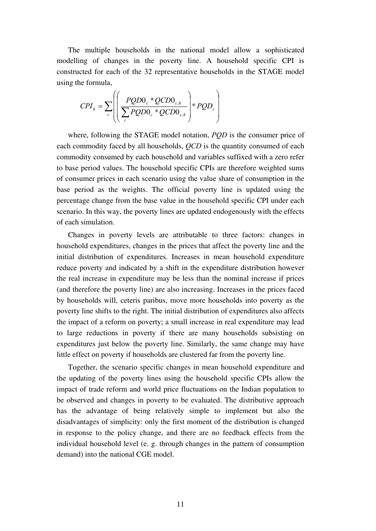The multiple households in the national model allow a sophisticated modelling of changes in the poverty line. A household specific CPI is constructed for each of the 32 representative households in the STAGE model using the formula,

$$
CPI_{h} = \sum_{c} \left( \left( \frac{PQDO_{c} * QCDO_{c,h}}{\sum_{c} PQDO_{c} * QCDO_{c,h}} \right) * PQD_{c} \right)
$$

 where, following the STAGE model notation, *PQD* is the consumer price of each commodity faced by all households, *QCD* is the quantity consumed of each commodity consumed by each household and variables suffixed with a zero refer to base period values. The household specific CPIs are therefore weighted sums of consumer prices in each scenario using the value share of consumption in the base period as the weights. The official poverty line is updated using the percentage change from the base value in the household specific CPI under each scenario. In this way, the poverty lines are updated endogenously with the effects of each simulation.

 Changes in poverty levels are attributable to three factors: changes in household expenditures, changes in the prices that affect the poverty line and the initial distribution of expenditures. Increases in mean household expenditure reduce poverty and indicated by a shift in the expenditure distribution however the real increase in expenditure may be less than the nominal increase if prices (and therefore the poverty line) are also increasing. Increases in the prices faced by households will, ceteris paribus, move more households into poverty as the poverty line shifts to the right. The initial distribution of expenditures also affects the impact of a reform on poverty; a small increase in real expenditure may lead to large reductions in poverty if there are many households subsisting on expenditures just below the poverty line. Similarly, the same change may have little effect on poverty if households are clustered far from the poverty line.

 Together, the scenario specific changes in mean household expenditure and the updating of the poverty lines using the household specific CPIs allow the impact of trade reform and world price fluctuations on the Indian population to be observed and changes in poverty to be evaluated. The distributive approach has the advantage of being relatively simple to implement but also the disadvantages of simplicity: only the first moment of the distribution is changed in response to the policy change, and there are no feedback effects from the individual household level (e. g. through changes in the pattern of consumption demand) into the national CGE model.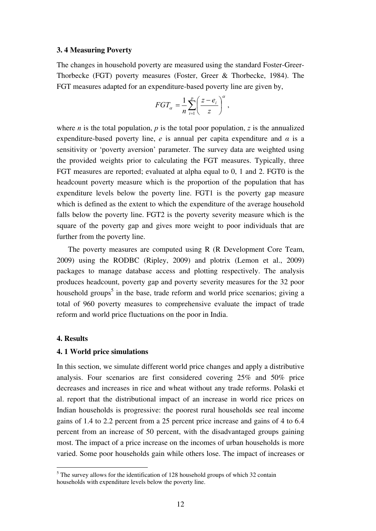#### **3. 4 Measuring Poverty**

The changes in household poverty are measured using the standard Foster-Greer-Thorbecke (FGT) poverty measures (Foster, Greer & Thorbecke, 1984). The FGT measures adapted for an expenditure-based poverty line are given by,

$$
FGT_{\alpha} = \frac{1}{n} \sum_{i=1}^{p} \left( \frac{z - e_i}{z} \right)^{\alpha},
$$

where *n* is the total population, *p* is the total poor population, *z* is the annualized expenditure-based poverty line,  $e$  is annual per capita expenditure and  $\alpha$  is a sensitivity or 'poverty aversion' parameter. The survey data are weighted using the provided weights prior to calculating the FGT measures. Typically, three FGT measures are reported; evaluated at alpha equal to 0, 1 and 2. FGT0 is the headcount poverty measure which is the proportion of the population that has expenditure levels below the poverty line. FGT1 is the poverty gap measure which is defined as the extent to which the expenditure of the average household falls below the poverty line. FGT2 is the poverty severity measure which is the square of the poverty gap and gives more weight to poor individuals that are further from the poverty line.

 The poverty measures are computed using R (R Development Core Team, 2009) using the RODBC (Ripley, 2009) and plotrix (Lemon et al., 2009) packages to manage database access and plotting respectively. The analysis produces headcount, poverty gap and poverty severity measures for the 32 poor household groups<sup>5</sup> in the base, trade reform and world price scenarios; giving a total of 960 poverty measures to comprehensive evaluate the impact of trade reform and world price fluctuations on the poor in India.

#### **4. Results**

 $\overline{a}$ 

#### **4. 1 World price simulations**

In this section, we simulate different world price changes and apply a distributive analysis. Four scenarios are first considered covering 25% and 50% price decreases and increases in rice and wheat without any trade reforms. Polaski et al. report that the distributional impact of an increase in world rice prices on Indian households is progressive: the poorest rural households see real income gains of 1.4 to 2.2 percent from a 25 percent price increase and gains of 4 to 6.4 percent from an increase of 50 percent, with the disadvantaged groups gaining most. The impact of a price increase on the incomes of urban households is more varied. Some poor households gain while others lose. The impact of increases or

 $<sup>5</sup>$  The survey allows for the identification of 128 household groups of which 32 contain</sup> households with expenditure levels below the poverty line.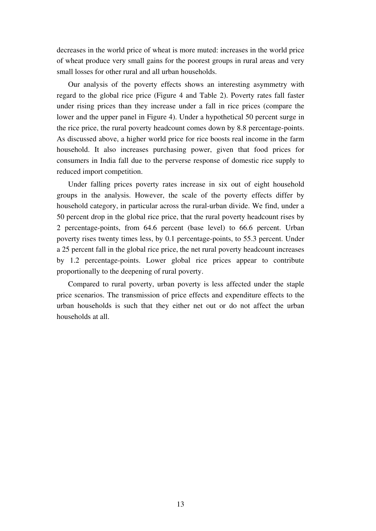decreases in the world price of wheat is more muted: increases in the world price of wheat produce very small gains for the poorest groups in rural areas and very small losses for other rural and all urban households.

 Our analysis of the poverty effects shows an interesting asymmetry with regard to the global rice price (Figure 4 and Table 2). Poverty rates fall faster under rising prices than they increase under a fall in rice prices (compare the lower and the upper panel in Figure 4). Under a hypothetical 50 percent surge in the rice price, the rural poverty headcount comes down by 8.8 percentage-points. As discussed above, a higher world price for rice boosts real income in the farm household. It also increases purchasing power, given that food prices for consumers in India fall due to the perverse response of domestic rice supply to reduced import competition.

 Under falling prices poverty rates increase in six out of eight household groups in the analysis. However, the scale of the poverty effects differ by household category, in particular across the rural-urban divide. We find, under a 50 percent drop in the global rice price, that the rural poverty headcount rises by 2 percentage-points, from 64.6 percent (base level) to 66.6 percent. Urban poverty rises twenty times less, by 0.1 percentage-points, to 55.3 percent. Under a 25 percent fall in the global rice price, the net rural poverty headcount increases by 1.2 percentage-points. Lower global rice prices appear to contribute proportionally to the deepening of rural poverty.

 Compared to rural poverty, urban poverty is less affected under the staple price scenarios. The transmission of price effects and expenditure effects to the urban households is such that they either net out or do not affect the urban households at all.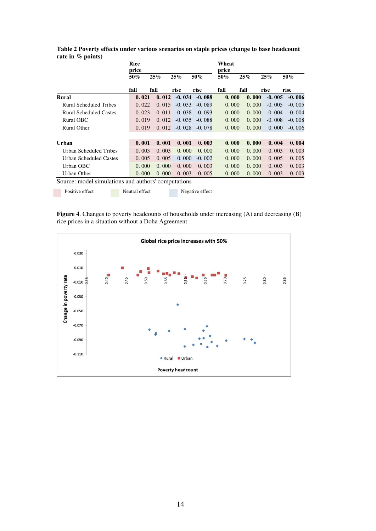|                                                     | <b>Rice</b><br>price |       |          |          | Wheat<br>price |       |          |          |
|-----------------------------------------------------|----------------------|-------|----------|----------|----------------|-------|----------|----------|
|                                                     | 50%                  | 25%   | 25%      | 50%      | 50%            | 25%   | 25%      | 50%      |
|                                                     | fall                 | fall  | rise     | rise     | fall           | fall  | rise     | rise     |
| Rural                                               | 0.021                | 0.012 | $-0.034$ | $-0.088$ | 0.000          | 0.000 | $-0.005$ | $-0.006$ |
| Rural Scheduled Tribes                              | 0.022                | 0.015 | $-0.033$ | $-0.089$ | 0.000          | 0.000 | $-0.005$ | $-0.005$ |
| <b>Rural Scheduled Castes</b>                       | 0.023                | 0.011 | $-0.038$ | $-0.093$ | 0.000          | 0.000 | $-0.004$ | $-0.004$ |
| Rural OBC                                           | 0.019                | 0.012 | $-0.035$ | $-0.088$ | 0.000          | 0.000 | $-0.008$ | $-0.008$ |
| <b>Rural Other</b>                                  | 0.019                | 0.012 | $-0.028$ | $-0.078$ | 0.000          | 0.000 | 0.000    | $-0.006$ |
|                                                     |                      |       |          |          |                |       |          |          |
| Urban                                               | 0.001                | 0.001 | 0.001    | 0.003    | 0.000          | 0.000 | 0.004    | 0.004    |
| Urban Scheduled Tribes                              | 0.003                | 0.003 | 0.000    | 0.000    | 0.000          | 0.000 | 0.003    | 0.003    |
| Urban Scheduled Castes                              | 0.005                | 0.005 | 0.000    | $-0.002$ | 0.000          | 0.000 | 0.005    | 0.005    |
| Urban OBC                                           | 0.000                | 0.000 | 0.000    | 0.003    | 0.000          | 0.000 | 0.003    | 0.003    |
| Urban Other                                         | 0.000                | 0.000 | 0.003    | 0.005    | 0.000          | 0.000 | 0.003    | 0.003    |
| Source: model simulations and authors' computations |                      |       |          |          |                |       |          |          |

**Table 2 Poverty effects under various scenarios on staple prices (change to base headcount rate in % points)** 

**Figure 4**. Changes to poverty headcounts of households under increasing (A) and decreasing (B) rice prices in a situation without a Doha Agreement

Positive effect Neutral effect Negative effect

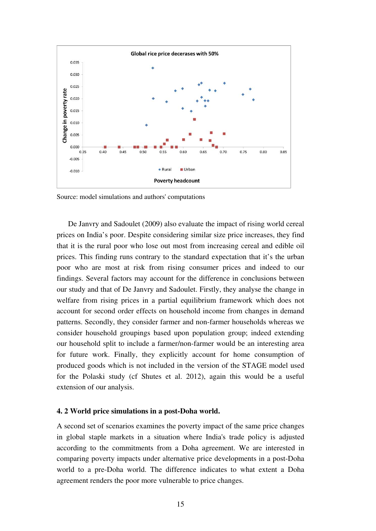

Source: model simulations and authors' computations

 De Janvry and Sadoulet (2009) also evaluate the impact of rising world cereal prices on India's poor. Despite considering similar size price increases, they find that it is the rural poor who lose out most from increasing cereal and edible oil prices. This finding runs contrary to the standard expectation that it's the urban poor who are most at risk from rising consumer prices and indeed to our findings. Several factors may account for the difference in conclusions between our study and that of De Janvry and Sadoulet. Firstly, they analyse the change in welfare from rising prices in a partial equilibrium framework which does not account for second order effects on household income from changes in demand patterns. Secondly, they consider farmer and non-farmer households whereas we consider household groupings based upon population group; indeed extending our household split to include a farmer/non-farmer would be an interesting area for future work. Finally, they explicitly account for home consumption of produced goods which is not included in the version of the STAGE model used for the Polaski study (cf Shutes et al. 2012), again this would be a useful extension of our analysis.

#### **4. 2 World price simulations in a post-Doha world.**

A second set of scenarios examines the poverty impact of the same price changes in global staple markets in a situation where India's trade policy is adjusted according to the commitments from a Doha agreement. We are interested in comparing poverty impacts under alternative price developments in a post-Doha world to a pre-Doha world. The difference indicates to what extent a Doha agreement renders the poor more vulnerable to price changes.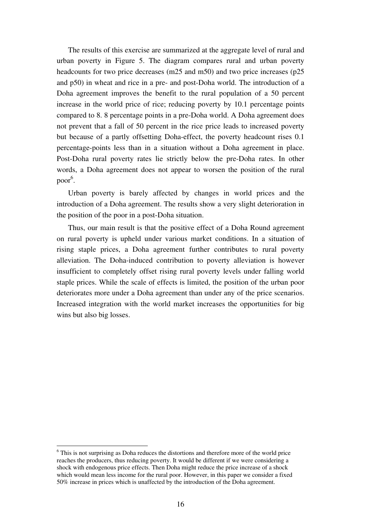The results of this exercise are summarized at the aggregate level of rural and urban poverty in Figure 5. The diagram compares rural and urban poverty headcounts for two price decreases (m25 and m50) and two price increases (p25 and p50) in wheat and rice in a pre- and post-Doha world. The introduction of a Doha agreement improves the benefit to the rural population of a 50 percent increase in the world price of rice; reducing poverty by 10.1 percentage points compared to 8. 8 percentage points in a pre-Doha world. A Doha agreement does not prevent that a fall of 50 percent in the rice price leads to increased poverty but because of a partly offsetting Doha-effect, the poverty headcount rises 0.1 percentage-points less than in a situation without a Doha agreement in place. Post-Doha rural poverty rates lie strictly below the pre-Doha rates. In other words, a Doha agreement does not appear to worsen the position of the rural poor<sup>6</sup>.

 Urban poverty is barely affected by changes in world prices and the introduction of a Doha agreement. The results show a very slight deterioration in the position of the poor in a post-Doha situation.

 Thus, our main result is that the positive effect of a Doha Round agreement on rural poverty is upheld under various market conditions. In a situation of rising staple prices, a Doha agreement further contributes to rural poverty alleviation. The Doha-induced contribution to poverty alleviation is however insufficient to completely offset rising rural poverty levels under falling world staple prices. While the scale of effects is limited, the position of the urban poor deteriorates more under a Doha agreement than under any of the price scenarios. Increased integration with the world market increases the opportunities for big wins but also big losses.

 $\overline{a}$ 

<sup>&</sup>lt;sup>6</sup> This is not surprising as Doha reduces the distortions and therefore more of the world price reaches the producers, thus reducing poverty. It would be different if we were considering a shock with endogenous price effects. Then Doha might reduce the price increase of a shock which would mean less income for the rural poor. However, in this paper we consider a fixed 50% increase in prices which is unaffected by the introduction of the Doha agreement.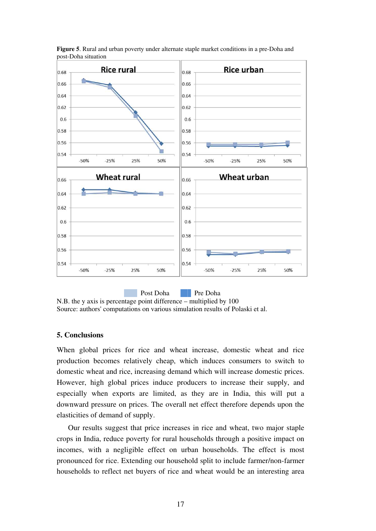

**Figure 5**. Rural and urban poverty under alternate staple market conditions in a pre-Doha and post-Doha situation

N.B. the y axis is percentage point difference – multiplied by 100 Source: authors' computations on various simulation results of Polaski et al.

#### **5. Conclusions**

When global prices for rice and wheat increase, domestic wheat and rice production becomes relatively cheap, which induces consumers to switch to domestic wheat and rice, increasing demand which will increase domestic prices. However, high global prices induce producers to increase their supply, and especially when exports are limited, as they are in India, this will put a downward pressure on prices. The overall net effect therefore depends upon the elasticities of demand of supply.

 Our results suggest that price increases in rice and wheat, two major staple crops in India, reduce poverty for rural households through a positive impact on incomes, with a negligible effect on urban households. The effect is most pronounced for rice. Extending our household split to include farmer/non-farmer households to reflect net buyers of rice and wheat would be an interesting area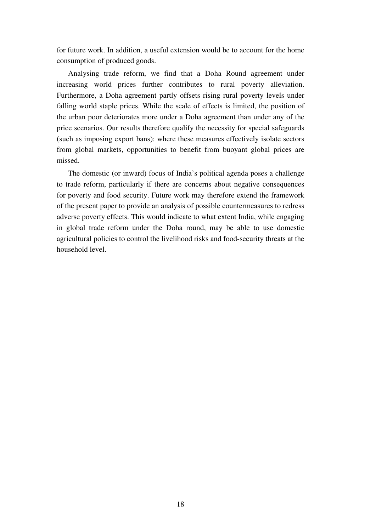for future work. In addition, a useful extension would be to account for the home consumption of produced goods.

 Analysing trade reform, we find that a Doha Round agreement under increasing world prices further contributes to rural poverty alleviation. Furthermore, a Doha agreement partly offsets rising rural poverty levels under falling world staple prices. While the scale of effects is limited, the position of the urban poor deteriorates more under a Doha agreement than under any of the price scenarios. Our results therefore qualify the necessity for special safeguards (such as imposing export bans): where these measures effectively isolate sectors from global markets, opportunities to benefit from buoyant global prices are missed.

 The domestic (or inward) focus of India's political agenda poses a challenge to trade reform, particularly if there are concerns about negative consequences for poverty and food security. Future work may therefore extend the framework of the present paper to provide an analysis of possible countermeasures to redress adverse poverty effects. This would indicate to what extent India, while engaging in global trade reform under the Doha round, may be able to use domestic agricultural policies to control the livelihood risks and food-security threats at the household level.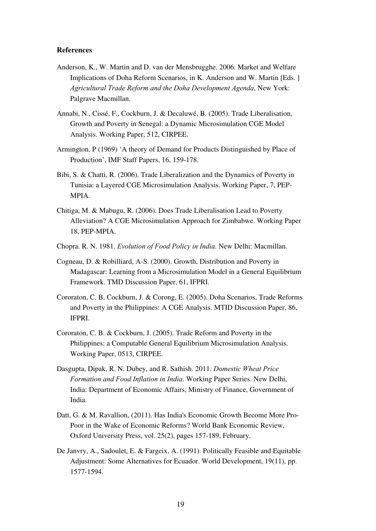#### **References**

- Anderson, K., W. Martin and D. van der Mensbrugghe. 2006. Market and Welfare Implications of Doha Reform Scenarios, in K. Anderson and W. Martin [Eds. ] *Agricultural Trade Reform and the Doha Development Agenda*, New York: Palgrave Macmillan.
- Annabi, N., Cissé, F., Cockburn, J. & Decaluwé, B. (2005). Trade Liberalisation, Growth and Poverty in Senegal: a Dynamic Microsimulation CGE Model Analysis. Working Paper, 512, CIRPEE.
- Armington, P (1969) 'A theory of Demand for Products Distinguished by Place of Production', IMF Staff Papers, 16, 159-178.
- Bibi, S. & Chatti, R. (2006). Trade Liberalization and the Dynamics of Poverty in Tunisia: a Layered CGE Microsimulation Analysis. Working Paper, 7, PEP-MPIA.
- Chitiga, M. & Mabugu, R. (2006). Does Trade Liberalisation Lead to Poverty Alleviation? A CGE Microsimulation Approach for Zimbabwe. Working Paper 18, PEP-MPIA.
- Chopra. R. N. 1981. *Evolution of Food Policy in India.* New Delhi: Macmillan.
- Cogneau, D. & Robilliard, A-S. (2000). Growth, Distribution and Poverty in Madagascar: Learning from a Microsimulation Model in a General Equilibrium Framework. TMD Discussion Paper, 61, IFPRI.
- Cororaton, C. B, Cockburn, J. & Corong, E. (2005). Doha Scenarios, Trade Reforms and Poverty in the Philippines: A CGE Analysis. MTID Discussion Paper, 86, IFPRI.
- Cororaton, C. B. & Cockburn, J. (2005). Trade Reform and Poverty in the Philippines: a Computable General Equilibrium Microsimulation Analysis. Working Paper, 0513, CIRPEE.
- Dasgupta, Dipak, R. N. Dubey, and R. Sathish. 2011. *Domestic Wheat Price Formation and Food Inflation in India*. Working Paper Series. New Delhi, India: Department of Economic Affairs, Ministry of Finance, Government of India.
- Datt, G. & M. Ravallion, (2011). Has India's Economic Growth Become More Pro-Poor in the Wake of Economic Reforms? World Bank Economic Review, Oxford University Press, vol. 25(2), pages 157-189, February.
- De Janvry, A., Sadoulet, E. & Fargeix, A. (1991). Politically Feasible and Equitable Adjustment: Some Alternatives for Ecuador. World Development, 19(11), pp. 1577-1594.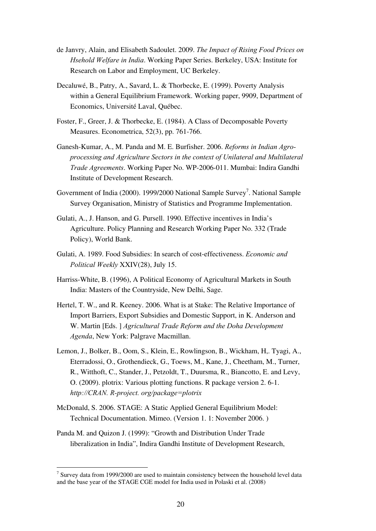- de Janvry, Alain, and Elisabeth Sadoulet. 2009. *The Impact of Rising Food Prices on Hsehold Welfare in India*. Working Paper Series. Berkeley, USA: Institute for Research on Labor and Employment, UC Berkeley.
- Decaluwé, B., Patry, A., Savard, L. & Thorbecke, E. (1999). Poverty Analysis within a General Equilibrium Framework. Working paper, 9909, Department of Economics, Université Laval, Québec.
- Foster, F., Greer, J. & Thorbecke, E. (1984). A Class of Decomposable Poverty Measures. Econometrica, 52(3), pp. 761-766.
- Ganesh-Kumar, A., M. Panda and M. E. Burfisher. 2006. *Reforms in Indian Agroprocessing and Agriculture Sectors in the context of Unilateral and Multilateral Trade Agreements*. Working Paper No. WP-2006-011. Mumbai: Indira Gandhi Institute of Development Research.
- Government of India (2000). 1999/2000 National Sample Survey<sup>7</sup>. National Sample Survey Organisation, Ministry of Statistics and Programme Implementation.
- Gulati, A., J. Hanson, and G. Pursell. 1990. Effective incentives in India's Agriculture. Policy Planning and Research Working Paper No. 332 (Trade Policy), World Bank.
- Gulati, A. 1989. Food Subsidies: In search of cost-effectiveness. *Economic and Political Weekly* XXIV(28), July 15.
- Harriss-White, B. (1996), A Political Economy of Agricultural Markets in South India: Masters of the Countryside, New Delhi, Sage.
- Hertel, T. W., and R. Keeney. 2006. What is at Stake: The Relative Importance of Import Barriers, Export Subsidies and Domestic Support, in K. Anderson and W. Martin [Eds. ] *Agricultural Trade Reform and the Doha Development Agenda*, New York: Palgrave Macmillan.
- Lemon, J., Bolker, B., Oom, S., Klein, E., Rowlingson, B., Wickham, H,. Tyagi, A., Eterradossi, O., Grothendieck, G., Toews, M., Kane, J., Cheetham, M., Turner, R., Witthoft, C., Stander, J., Petzoldt, T., Duursma, R., Biancotto, E. and Levy, O. (2009). plotrix: Various plotting functions. R package version 2. 6-1. *http://CRAN. R-project. org/package=plotrix*
- McDonald, S. 2006. STAGE: A Static Applied General Equilibrium Model: Technical Documentation. Mimeo. (Version 1. 1: November 2006. )
- Panda M. and Quizon J. (1999): "Growth and Distribution Under Trade liberalization in India", Indira Gandhi Institute of Development Research,

 $\overline{a}$ 

 $7$  Survey data from 1999/2000 are used to maintain consistency between the household level data and the base year of the STAGE CGE model for India used in Polaski et al. (2008)